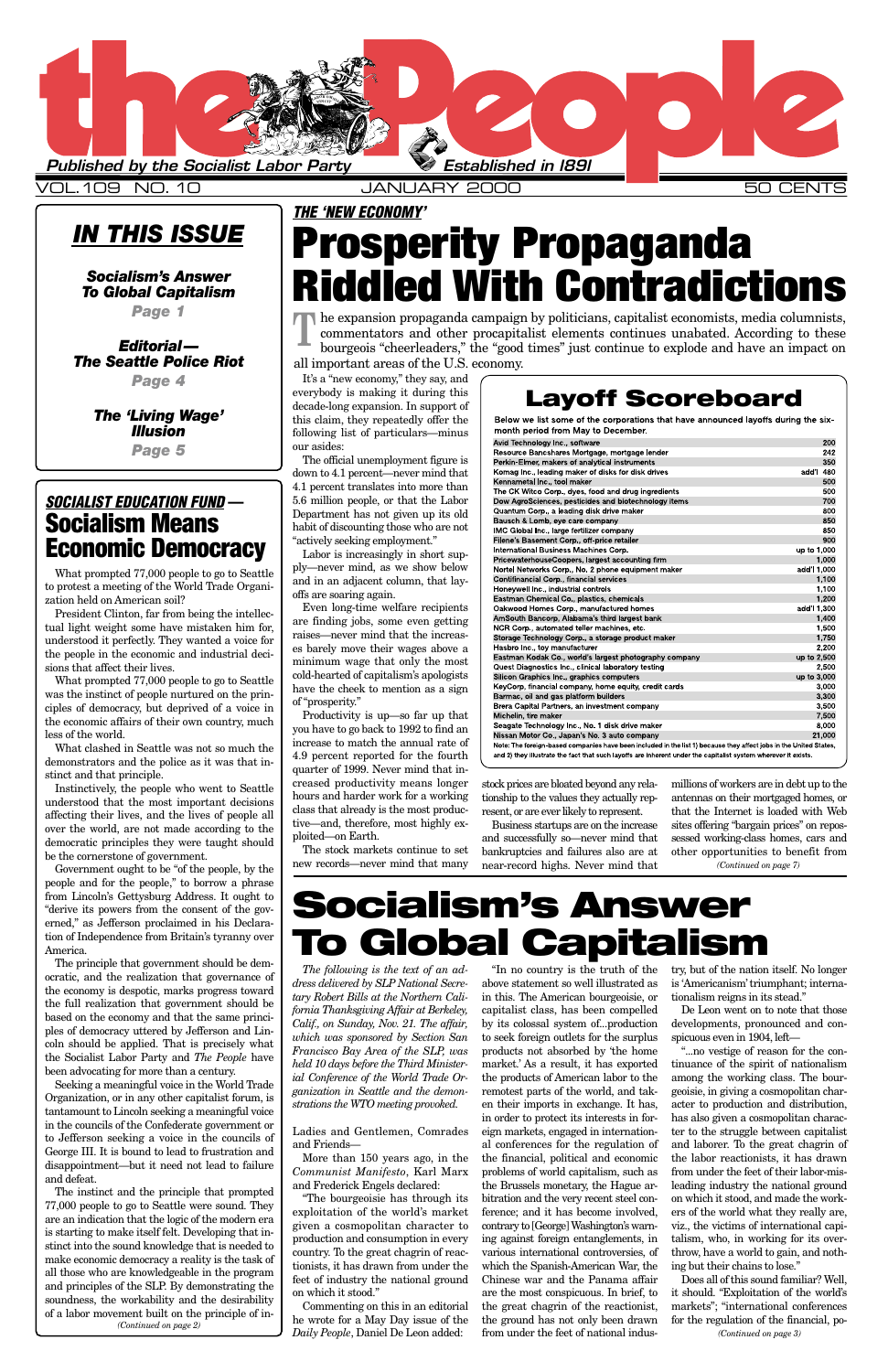### *IN THIS ISSUE*

### *Socialism's Answer To Global Capitalism*

*Page 1*

*Editorial— The Seattle Police Riot Page 4*

> *The 'Living Wage' Illusion Page 5*

> > *The following is the text of an address delivered by SLP National Secretary Robert Bills at the Northern California Thanksgiving Affair at Berkeley, Calif., on Sunday, Nov. 21. The affair, which was sponsored by Section San Francisco Bay Area of the SLP, was held 10 days before the Third Ministerial Conference of the World Trade Organization in Seattle and the demonstrations the WTO meeting provoked.*

Ladies and Gentlemen, Comrades and Friends—

More than 150 years ago, in the *Communist Manifesto*, Karl Marx and Frederick Engels declared:

"The bourgeoisie has through its exploitation of the world's market given a cosmopolitan character to production and consumption in every country. To the great chagrin of reactionists, it has drawn from under the feet of industry the national ground on which it stood."

Commenting on this in an editorial he wrote for a May Day issue of the *Daily People*, Daniel De Leon added:

"In no country is the truth of the try, but of the nation itself. No longer above statement so well illustrated as is 'Americanism' triumphant; internain this. The American bourgeoisie, or tionalism reigns in its stead." capitalist class, has been compelled by its colossal system of...production to seek foreign outlets for the surplus products not absorbed by 'the home market.' As a result, it has exported the products of American labor to the remotest parts of the world, and taken their imports in exchange. It has, in order to protect its interests in foreign markets, engaged in international conferences for the regulation of the financial, political and economic problems of world capitalism, such as the Brussels monetary, the Hague arbitration and the very recent steel conference; and it has become involved, contrary to [George] Washington's warning against foreign entanglements, in various international controversies, of which the Spanish-American War, the Chinese war and the Panama affair are the most conspicuous. In brief, to the great chagrin of the reactionist, the ground has not only been drawn from under the feet of national indus-

De Leon went on to note that those developments, pronounced and conspicuous even in 1904, left—

"...no vestige of reason for the continuance of the spirit of nationalism among the working class. The bourgeoisie, in giving a cosmopolitan character to production and distribution, has also given a cosmopolitan character to the struggle between capitalist and laborer. To the great chagrin of the labor reactionists, it has drawn from under the feet of their labor-misleading industry the national ground on which it stood, and made the workers of the world what they really are, viz., the victims of international capitalism, who, in working for its overthrow, have a world to gain, and nothing but their chains to lose."

Does all of this sound familiar? Well, it should. "Exploitation of the world's markets"; "international conferences for the regulation of the financial, po-



VOL.109 NO. 10 JANUARY 2000 50 CENTS

It's a "new economy," they say, and everybody is making it during this decade-long expansion. In support of this claim, they repeatedly offer the following list of particulars—minus our asides:

The official unemployment figure is down to 4.1 percent—never mind that 4.1 percent translates into more than 5.6 million people, or that the Labor Department has not given up its old habit of discounting those who are not "actively seeking employment."

Labor is increasingly in short supply—never mind, as we show below and in an adjacent column, that layoffs are soaring again.

Even long-time welfare recipients are finding jobs, some even getting raises—never mind that the increases barely move their wages above a minimum wage that only the most cold-hearted of capitalism's apologists have the cheek to mention as a sign of "prosperity."

The expansion propaganda campaign by politicians, capitalist economists, media columnists, commentators and other procapitalist elements continues unabated. According to these bourgeois "cheerleaders." the "good times" jus commentators and other procapitalist elements continues unabated. According to these bourgeois "cheerleaders," the "good times" just continue to explode and have an impact on all important areas of the U.S. economy.

Productivity is up—so far up that you have to go back to 1992 to find an increase to match the annual rate of 4.9 percent reported for the fourth quarter of 1999. Never mind that increased productivity means longer hours and harder work for a working class that already is the most productive—and, therefore, most highly exploited—on Earth.

The stock markets continue to set new records—never mind that many

stock prices are bloated beyond any relationship to the values they actually represent, or are ever likely to represent.

Business startups are on the increase and successfully so—never mind that bankruptcies and failures also are at near-record highs. Never mind that

What prompted 77,000 people to go to Seattle to protest a meeting of the World Trade Organization held on American soil?

President Clinton, far from being the intellectual light weight some have mistaken him for, understood it perfectly. They wanted a voice for the people in the economic and industrial decisions that affect their lives.

What prompted 77,000 people to go to Seattle was the instinct of people nurtured on the principles of democracy, but deprived of a voice in the economic affairs of their own country, much less of the world.

What clashed in Seattle was not so much the demonstrators and the police as it was that instinct and that principle.

Instinctively, the people who went to Seattle understood that the most important decisions affecting their lives, and the lives of people all over the world, are not made according to the democratic principles they were taught should be the cornerstone of government.

Government ought to be "of the people, by the people and for the people," to borrow a phrase from Lincoln's Gettysburg Address. It ought to "derive its powers from the consent of the governed," as Jefferson proclaimed in his Declaration of Independence from Britain's tyranny over America.

millions of workers are in debt up to the antennas on their mortgaged homes, or that the Internet is loaded with Web sites offering "bargain prices" on repossessed working-class homes, cars and other opportunities to benefit from *(Continued on page 7)*

The principle that government should be democratic, and the realization that governance of the economy is despotic, marks progress toward the full realization that government should be based on the economy and that the same principles of democracy uttered by Jefferson and Lincoln should be applied. That is precisely what the Socialist Labor Party and *The People* have been advocating for more than a century. Seeking a meaningful voice in the World Trade Organization, or in any other capitalist forum, is tantamount to Lincoln seeking a meaningful voice in the councils of the Confederate government or to Jefferson seeking a voice in the councils of George III. It is bound to lead to frustration and disappointment—but it need not lead to failure and defeat. The instinct and the principle that prompted 77,000 people to go to Seattle were sound. They are an indication that the logic of the modern era is starting to make itself felt. Developing that instinct into the sound knowledge that is needed to make economic democracy a reality is the task of all those who are knowledgeable in the program and principles of the SLP. By demonstrating the soundness, the workability and the desirability of a labor movement built on the principle of in-*(Continued on page 2)*

## **THE 'NEW ECONOMY' Prosperity Propaganda Riddled With Contradictions**

# **Socialism's Answer To Global Capitalism**

*(Continued on page 3)*

### **Layoff Scoreboard**

Below we list some of the corporations that have announced layoffs during the sixmonth period from May to December.

| Avid Technology Inc., software                                                                                     |             | 200    |
|--------------------------------------------------------------------------------------------------------------------|-------------|--------|
| Resource Bancshares Mortgage, mortgage lender                                                                      |             | 242    |
| Perkin-Elmer, makers of analytical instruments                                                                     |             | 350    |
| Komag Inc., leading maker of disks for disk drives                                                                 | add'l       | 480    |
| Kennametal Inc., tool maker                                                                                        |             | 500    |
| The CK Witco Corp., dyes, food and drug ingredients                                                                |             | 500    |
| Dow AgroSciences, pesticides and biotechnology items                                                               |             | 700    |
| Quantum Corp., a leading disk drive maker                                                                          |             | 800    |
| Bausch & Lomb, eye care company                                                                                    |             | 850    |
| IMC Global Inc., large fertilizer company                                                                          |             | 850    |
| Filene's Basement Corp., off-price retailer                                                                        |             | 900    |
| International Business Machines Corp.                                                                              | up to 1,000 |        |
| PricewaterhouseCoopers, largest accounting firm                                                                    |             | 1,000  |
| Nortel Networks Corp., No. 2 phone equipment maker                                                                 | add'l 1,000 |        |
| Contifinancial Corp., financial services                                                                           |             | 1,100  |
| Honeywell Inc., industrial controls                                                                                |             | 1,100  |
| Eastman Chemical Co., plastics, chemicals                                                                          |             | 1.200  |
| Oakwood Homes Corp., manufactured homes                                                                            | add'l 1,300 |        |
| AmSouth Bancorp, Alabama's third largest bank                                                                      |             | 1,400  |
| NCR Corp., automated teller machines, etc.                                                                         |             | 1,500  |
| Storage Technology Corp., a storage product maker                                                                  |             | 1,750  |
| Hasbro Inc., toy manufacturer                                                                                      |             | 2,200  |
| Eastman Kodak Co., world's largest photography company                                                             | up to 2,500 |        |
| Quest Diagnostics Inc., clinical laboratory testing                                                                |             | 2,500  |
| Silicon Graphics Inc., graphics computers                                                                          | up to 3,000 |        |
| KeyCorp, financial company, home equity, credit cards                                                              |             | 3,000  |
| Barmac, oil and gas platform builders                                                                              |             | 3,300  |
| Brera Capital Partners, an investment company                                                                      |             | 3,500  |
| Michelin, tire maker                                                                                               |             | 7,500  |
| Seagate Technology Inc., No. 1 disk drive maker                                                                    |             | 8,000  |
| Nissan Motor Co., Japan's No. 3 auto company                                                                       |             | 21,000 |
| Note: The foreign-based companies have been included in the list 1) because they affect jobs in the United States, |             |        |
| and 2) they illustrate the fact that such layoffs are inherent under the capitalist system wherever it exists.     |             |        |

### **SOCIALIST EDUCATION FUND — Socialism Means Economic Democracy**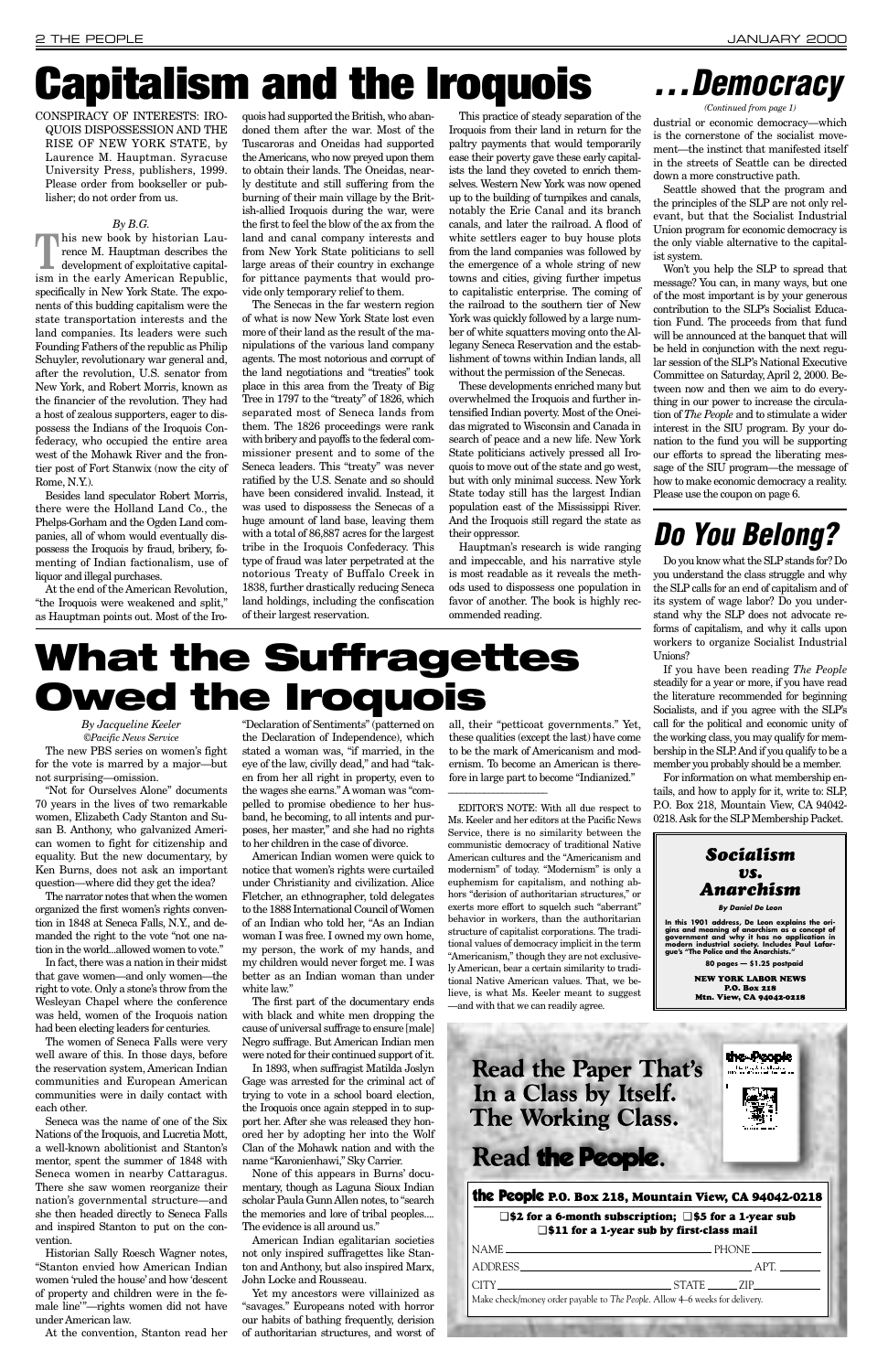CONSPIRACY OF INTERESTS: IRO-QUOIS DISPOSSESSION AND THE RISE OF NEW YORK STATE, by Laurence M. Hauptman. Syracuse University Press, publishers, 1999. Please order from bookseller or publisher; do not order from us.

### *By B.G.*

**T**his new book by historian Laurence M. Hauptman describes the development of exploitative capitalism in the early American Republic, specifically in New York State. The exponents of this budding capitalism were the state transportation interests and the land companies. Its leaders were such Founding Fathers of the republic as Philip Schuyler, revolutionary war general and, after the revolution, U.S. senator from New York, and Robert Morris, known as the financier of the revolution. They had a host of zealous supporters, eager to dispossess the Indians of the Iroquois Confederacy, who occupied the entire area west of the Mohawk River and the frontier post of Fort Stanwix (now the city of Rome, N.Y.).

Besides land speculator Robert Morris, there were the Holland Land Co., the Phelps-Gorham and the Ogden Land companies, all of whom would eventually dispossess the Iroquois by fraud, bribery, fomenting of Indian factionalism, use of liquor and illegal purchases.

At the end of the American Revolution, "the Iroquois were weakened and split," as Hauptman points out. Most of the Iro-

quois had supported the British, who abandoned them after the war. Most of the Tuscaroras and Oneidas had supported the Americans, who now preyed upon them to obtain their lands. The Oneidas, nearly destitute and still suffering from the burning of their main village by the British-allied Iroquois during the war, were the first to feel the blow of the ax from the land and canal company interests and from New York State politicians to sell large areas of their country in exchange for pittance payments that would provide only temporary relief to them.

The Senecas in the far western region of what is now New York State lost even more of their land as the result of the manipulations of the various land company agents. The most notorious and corrupt of the land negotiations and "treaties" took place in this area from the Treaty of Big Tree in 1797 to the "treaty" of 1826, which separated most of Seneca lands from them. The 1826 proceedings were rank with bribery and payoffs to the federal commissioner present and to some of the Seneca leaders. This "treaty" was never ratified by the U.S. Senate and so should have been considered invalid. Instead, it was used to dispossess the Senecas of a huge amount of land base, leaving them with a total of 86,887 acres for the largest tribe in the Iroquois Confederacy. This type of fraud was later perpetrated at the notorious Treaty of Buffalo Creek in 1838, further drastically reducing Seneca land holdings, including the confiscation of their largest reservation.

This practice of steady separation of the Iroquois from their land in return for the paltry payments that would temporarily ease their poverty gave these early capitalists the land they coveted to enrich themselves. Western New York was now opened up to the building of turnpikes and canals, notably the Erie Canal and its branch canals, and later the railroad. A flood of white settlers eager to buy house plots from the land companies was followed by the emergence of a whole string of new towns and cities, giving further impetus to capitalistic enterprise. The coming of the railroad to the southern tier of New York was quickly followed by a large number of white squatters moving onto the Allegany Seneca Reservation and the establishment of towns within Indian lands, all without the permission of the Senecas.

These developments enriched many but overwhelmed the Iroquois and further intensified Indian poverty. Most of the Oneidas migrated to Wisconsin and Canada in search of peace and a new life. New York State politicians actively pressed all Iroquois to move out of the state and go west, but with only minimal success. New York State today still has the largest Indian population east of the Mississippi River. And the Iroquois still regard the state as their oppressor.

Hauptman's research is wide ranging and impeccable, and his narrative style is most readable as it reveals the methods used to dispossess one population in favor of another. The book is highly recommended reading.

*By Jacqueline Keeler ©Pacific News Service*

The new PBS series on women's fight for the vote is marred by a major—but not surprising—omission.

"Not for Ourselves Alone" documents 70 years in the lives of two remarkable women, Elizabeth Cady Stanton and Susan B. Anthony, who galvanized American women to fight for citizenship and equality. But the new documentary, by Ken Burns, does not ask an important question—where did they get the idea?

The narrator notes that when the women organized the first women's rights convention in 1848 at Seneca Falls, N.Y., and demanded the right to the vote "not one nation in the world...allowed women to vote."

In fact, there was a nation in their midst that gave women—and only women—the right to vote. Only a stone's throw from the Wesleyan Chapel where the conference

was held, women of the Iroquois nation had been electing leaders for centuries.

The women of Seneca Falls were very well aware of this. In those days, before the reservation system, American Indian communities and European American communities were in daily contact with each other.

Seneca was the name of one of the Six Nations of the Iroquois, and Lucretia Mott, a well-known abolitionist and Stanton's mentor, spent the summer of 1848 with Seneca women in nearby Cattaragus. There she saw women reorganize their nation's governmental structure—and she then headed directly to Seneca Falls and inspired Stanton to put on the convention.

Historian Sally Roesch Wagner notes, "Stanton envied how American Indian women 'ruled the house' and how 'descent of property and children were in the female line'"—rights women did not have under American law.

At the convention, Stanton read her

"Declaration of Sentiments" (patterned on the Declaration of Independence), which stated a woman was, "if married, in the eye of the law, civilly dead," and had "taken from her all right in property, even to the wages she earns." Awoman was "compelled to promise obedience to her husband, he becoming, to all intents and purposes, her master," and she had no rights to her children in the case of divorce.

American Indian women were quick to notice that women's rights were curtailed under Christianity and civilization. Alice Fletcher, an ethnographer, told delegates to the 1888 International Council of Women of an Indian who told her, "As an Indian woman I was free. I owned my own home, my person, the work of my hands, and my children would never forget me. I was better as an Indian woman than under white law."

The first part of the documentary ends

with black and white men dropping the cause of universal suffrage to ensure [male] Negro suffrage. But American Indian men were noted for their continued support of it. In 1893, when suffragist Matilda Joslyn Gage was arrested for the criminal act of trying to vote in a school board election, the Iroquois once again stepped in to support her. After she was released they honored her by adopting her into the Wolf Clan of the Mohawk nation and with the name "Karonienhawi," Sky Carrier.

None of this appears in Burns' documentary, though as Laguna Sioux Indian scholar Paula Gunn Allen notes, to "search the memories and lore of tribal peoples.... The evidence is all around us."

American Indian egalitarian societies not only inspired suffragettes like Stanton and Anthony, but also inspired Marx, John Locke and Rousseau.

Yet my ancestors were villainized as "savages." Europeans noted with horror our habits of bathing frequently, derision of authoritarian structures, and worst of

### **Read the Paper That's** In a Class by Itself. **The Working Class.**

**Read the People.** 

all, their "petticoat governments." Yet, these qualities (except the last) have come to be the mark of Americanism and modernism. To become an American is therefore in large part to become "Indianized."

\_\_\_\_\_\_\_\_\_\_\_\_\_\_\_\_\_\_\_\_\_\_\_\_\_

Do you know what the SLPstands for? Do you understand the class struggle and why the SLP calls for an end of capitalism and of its system of wage labor? Do you understand why the SLP does not advocate reforms of capitalism, and why it calls upon workers to organize Socialist Industrial Unions?

If you have been reading *The People* steadily for a year or more, if you have read the literature recommended for beginning Socialists, and if you agree with the SLP's call for the political and economic unity of the working class, you may qualify for membership in the SLP. And if you qualify to be a member you probably should be a member.

For information on what membership entails, and how to apply for it, write to: SLP, P.O. Box 218, Mountain View, CA 94042- 0218. Ask for the SLP Membership Packet.

# **Capitalism and the Iroquois**

# **What the Suffragettes Owed the Iroquois**



dustrial or economic democracy—which is the cornerstone of the socialist movement—the instinct that manifested itself in the streets of Seattle can be directed down a more constructive path.

Seattle showed that the program and the principles of the SLP are not only relevant, but that the Socialist Industrial Union program for economic democracy is the only viable alternative to the capitalist system.

Won't you help the SLP to spread that message? You can, in many ways, but one of the most important is by your generous contribution to the SLP's Socialist Education Fund. The proceeds from that fund will be announced at the banquet that will be held in conjunction with the next regular session of the SLP's National Executive Committee on Saturday, April 2, 2000. Between now and then we aim to do everything in our power to increase the circulation of *The People* and to stimulate a wider interest in the SIU program. By your donation to the fund you will be supporting our efforts to spread the liberating message of the SIU program—the message of how to make economic democracy a reality. Please use the coupon on page 6.

## **Do You Belong?**

### the People **P.O. Box 218, Mountain View, CA 94042-0218**

### ❑ **\$2 for a 6-month subscription;** ❑ **\$5 for a 1-year sub** ❑ **\$11 for a 1-year sub by first-class mail**

| $\begin{tabular}{c} \bf{NAME} \end{tabular} \begin{tabular}{p{0.8cm}p{0.8cm}p{0.8cm}} \end{tabular} \begin{tabular}{p{0.8cm}p{0.8cm}p{0.8cm}} \end{tabular} \begin{tabular}{p{0.8cm}p{0.8cm}p{0.8cm}} \end{tabular} \begin{tabular}{p{0.8cm}p{0.8cm}p{0.8cm}} \end{tabular} \begin{tabular}{p{0.8cm}p{0.8cm}p{0.8cm}} \end{tabular} \begin{tabular}{p{0.8cm}p{0.8cm}p{0.8cm}} \end{tabular} \begin{$ |      |
|------------------------------------------------------------------------------------------------------------------------------------------------------------------------------------------------------------------------------------------------------------------------------------------------------------------------------------------------------------------------------------------------------|------|
| ADDRESS ARE AND ARRAIGNMENT OF THE CONTROL OF THE CONTROL OF THE CONTROL OF THE CONTROL OF THE CONTROL OF THE CONTROL OF THE CONTROL OF THE CONTROL OF THE CONTROL OF THE CONTROL OF THE CONTROL OF THE CONTROL OF THE CONTROL                                                                                                                                                                       | APT. |
|                                                                                                                                                                                                                                                                                                                                                                                                      |      |
| Make check/money order payable to The People. Allow 4–6 weeks for delivery.                                                                                                                                                                                                                                                                                                                          |      |
|                                                                                                                                                                                                                                                                                                                                                                                                      |      |
|                                                                                                                                                                                                                                                                                                                                                                                                      |      |



**By Daniel De Leon**

In this 1901 address, De Leon explains the ori-<br>gins and meaning of anarchism as a concept of<br>government and why it has no application in<br>modern industrial society. Includes Paul Lafar-<br>gue's "The Police and the Anarchists

**80 pages — \$1.25 postpaid** NEW YORK LABOR NEWS P.O. Box 218

Mtn. View, CA 94042-0218

the People

EDITOR'S NOTE: With all due respect to Ms. Keeler and her editors at the Pacific News Service, there is no similarity between the communistic democracy of traditional Native American cultures and the "Americanism and modernism" of today. "Modernism" is only a euphemism for capitalism, and nothing abhors "derision of authoritarian structures," or exerts more effort to squelch such "aberrant" behavior in workers, than the authoritarian structure of capitalist corporations. The traditional values of democracy implicit in the term "Americanism," though they are not exclusively American, bear a certain similarity to traditional Native American values. That, we believe, is what Ms. Keeler meant to suggest —and with that we can readily agree.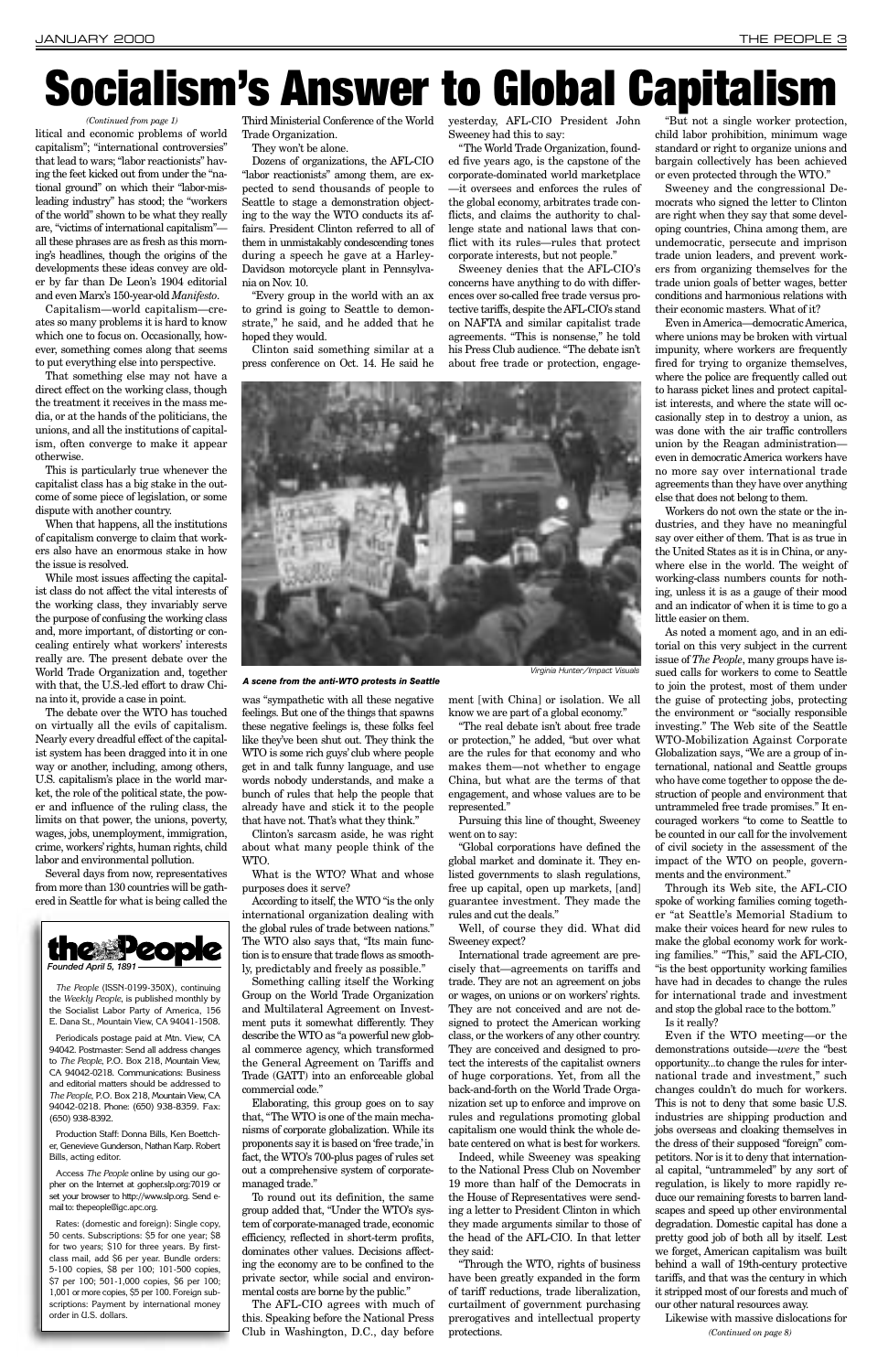litical and economic problems of world capitalism"; "international controversies" that lead to wars; "labor reactionists" having the feet kicked out from under the "national ground" on which their "labor-misleading industry" has stood; the "workers of the world" shown to be what they really are, "victims of international capitalism" all these phrases are as fresh as this morning's headlines, though the origins of the developments these ideas convey are older by far than De Leon's 1904 editorial and even Marx's 150-year-old *Manifesto*.

Capitalism—world capitalism—creates so many problems it is hard to know which one to focus on. Occasionally, however, something comes along that seems to put everything else into perspective.

That something else may not have a direct effect on the working class, though the treatment it receives in the mass media, or at the hands of the politicians, the unions, and all the institutions of capitalism, often converge to make it appear otherwise.

This is particularly true whenever the capitalist class has a big stake in the outcome of some piece of legislation, or some dispute with another country.

When that happens, all the institutions of capitalism converge to claim that workers also have an enormous stake in how the issue is resolved.

While most issues affecting the capitalist class do not affect the vital interests of the working class, they invariably serve the purpose of confusing the working class and, more important, of distorting or concealing entirely what workers' interests really are. The present debate over the World Trade Organization and, together with that, the U.S.-led effort to draw China into it, provide a case in point.

The debate over the WTO has touched on virtually all the evils of capitalism. Nearly every dreadful effect of the capitalist system has been dragged into it in one way or another, including, among others, U.S. capitalism's place in the world market, the role of the political state, the power and influence of the ruling class, the limits on that power, the unions, poverty, wages, jobs, unemployment, immigration, crime, workers'rights, human rights, child labor and environmental pollution.

Several days from now, representatives from more than 130 countries will be gathered in Seattle for what is being called the

Third Ministerial Conference of the World Trade Organization.

They won't be alone.

Dozens of organizations, the AFL-CIO "labor reactionists" among them, are expected to send thousands of people to Seattle to stage a demonstration objecting to the way the WTO conducts its affairs. President Clinton referred to all of them in unmistakably condescending tones during a speech he gave at a Harley-Davidson motorcycle plant in Pennsylvania on Nov. 10.

"Every group in the world with an ax to grind is going to Seattle to demonstrate," he said, and he added that he hoped they would.

Clinton said something similar at a press conference on Oct. 14. He said he

was "sympathetic with all these negative feelings. But one of the things that spawns these negative feelings is, these folks feel like they've been shut out. They think the WTO is some rich guys' club where people get in and talk funny language, and use words nobody understands, and make a bunch of rules that help the people that already have and stick it to the people that have not. That's what they think."

Clinton's sarcasm aside, he was right about what many people think of the WTO.

What is the WTO? What and whose purposes does it serve?

According to itself, the WTO "is the only international organization dealing with the global rules of trade between nations." The WTO also says that, "Its main function is to ensure that trade flows as smoothly, predictably and freely as possible."

Something calling itself the Working Group on the World Trade Organization and Multilateral Agreement on Investment puts it somewhat differently. They describe the WTO as "a powerful new global commerce agency, which transformed the General Agreement on Tariffs and Trade (GATT) into an enforceable global commercial code." Elaborating, this group goes on to say that, "The WTO is one of the main mechanisms of corporate globalization. While its proponents say it is based on 'free trade,'in fact, the WTO's 700-plus pages of rules set out a comprehensive system of corporatemanaged trade." To round out its definition, the same group added that, "Under the WTO's system of corporate-managed trade, economic efficiency, reflected in short-term profits, dominates other values. Decisions affecting the economy are to be confined to the private sector, while social and environmental costs are borne by the public."

The AFL-CIO agrees with much of this. Speaking before the National Press Club in Washington, D.C., day before

yesterday, AFL-CIO President John Sweeney had this to say:

> and stop the global race to the bottom. Is it really?

"The World Trade Organization, founded five years ago, is the capstone of the corporate-dominated world marketplace —it oversees and enforces the rules of the global economy, arbitrates trade conflicts, and claims the authority to challenge state and national laws that conflict with its rules—rules that protect corporate interests, but not people."

Sweeney denies that the AFL-CIO's concerns have anything to do with differences over so-called free trade versus protective tariffs, despite the AFL-CIO's stand on NAFTA and similar capitalist trade agreements. "This is nonsense," he told his Press Club audience. "The debate isn't about free trade or protection, engage-

ment [with China] or isolation. We all know we are part of a global economy."

"The real debate isn't about free trade or protection," he added, "but over what are the rules for that economy and who makes them—not whether to engage China, but what are the terms of that engagement, and whose values are to be represented."

Pursuing this line of thought, Sweeney went on to say:

"Global corporations have defined the global market and dominate it. They enlisted governments to slash regulations, free up capital, open up markets, [and] guarantee investment. They made the rules and cut the deals."

Well, of course they did. What did Sweeney expect?

International trade agreement are precisely that—agreements on tariffs and trade. They are not an agreement on jobs or wages, on unions or on workers' rights. They are not conceived and are not designed to protect the American working class, or the workers of any other country. They are conceived and designed to protect the interests of the capitalist owners of huge corporations. Yet, from all the back-and-forth on the World Trade Organization set up to enforce and improve on rules and regulations promoting global capitalism one would think the whole debate centered on what is best for workers. Indeed, while Sweeney was speaking to the National Press Club on November 19 more than half of the Democrats in the House of Representatives were sending a letter to President Clinton in which they made arguments similar to those of the head of the AFL-CIO. In that letter they said: "Through the WTO, rights of business have been greatly expanded in the form of tariff reductions, trade liberalization, curtailment of government purchasing prerogatives and intellectual property protections.

"But not a single worker protection, child labor prohibition, minimum wage standard or right to organize unions and bargain collectively has been achieved or even protected through the WTO."

Sweeney and the congressional Democrats who signed the letter to Clinton are right when they say that some developing countries, China among them, are undemocratic, persecute and imprison trade union leaders, and prevent workers from organizing themselves for the trade union goals of better wages, better conditions and harmonious relations with their economic masters. What of it?

Even in America—democratic America, where unions may be broken with virtual impunity, where workers are frequently fired for trying to organize themselves, where the police are frequently called out to harass picket lines and protect capitalist interests, and where the state will occasionally step in to destroy a union, as was done with the air traffic controllers union by the Reagan administration even in democratic America workers have no more say over international trade agreements than they have over anything else that does not belong to them.

Workers do not own the state or the industries, and they have no meaningful say over either of them. That is as true in the United States as it is in China, or anywhere else in the world. The weight of working-class numbers counts for nothing, unless it is as a gauge of their mood and an indicator of when it is time to go a little easier on them.

As noted a moment ago, and in an editorial on this very subject in the current issue of *The People*, many groups have issued calls for workers to come to Seattle to join the protest, most of them under the guise of protecting jobs, protecting the environment or "socially responsible investing." The Web site of the Seattle WTO-Mobilization Against Corporate Globalization says, "We are a group of international, national and Seattle groups who have come together to oppose the destruction of people and environment that untrammeled free trade promises." It encouraged workers "to come to Seattle to be counted in our call for the involvement of civil society in the assessment of the impact of the WTO on people, governments and the environment."

Through its Web site, the AFL-CIO spoke of working families coming together "at Seattle's Memorial Stadium to make their voices heard for new rules to make the global economy work for working families." "This," said the AFL-CIO, "is the best opportunity working families have had in decades to change the rules for international trade and investment

Even if the WTO meeting—or the demonstrations outside—*were* the "best opportunity...to change the rules for international trade and investment," such changes couldn't do much for workers. This is not to deny that some basic U.S. industries are shipping production and jobs overseas and cloaking themselves in the dress of their supposed "foreign" competitors. Nor is it to deny that international capital, "untrammeled" by any sort of regulation, is likely to more rapidly reduce our remaining forests to barren landscapes and speed up other environmental degradation. Domestic capital has done a pretty good job of both all by itself. Lest we forget, American capitalism was built behind a wall of 19th-century protective tariffs, and that was the century in which it stripped most of our forests and much of our other natural resources away.

Likewise with massive dislocations for

# **Socialism's Answer to Global Capitalism**



*The People* (ISSN-0199-350X), continuing the *Weekly People*, is published monthly by the Socialist Labor Party of America, 156 E. Dana St., Mountain View, CA 94041-1508.

Periodicals postage paid at Mtn. View, CA 94042. Postmaster: Send all address changes to *The People*, P.O. Box 218, Mountain View, CA 94042-0218. Communications: Business and editorial matters should be addressed to *The People*, P.O. Box 218, Mountain View, CA 94042-0218. Phone: (650) 938-8359. Fax: (650) 938-8392.

Production Staff: Donna Bills, Ken Boettcher, Genevieve Gunderson, Nathan Karp. Robert Bills, acting editor.

Access *The People* online by using our gopher on the Internet at gopher.slp.org:7019 or set your browser to http://www.slp.org. Send email to: thepeople@igc.apc.org.

Rates: (domestic and foreign): Single copy, 50 cents. Subscriptions: \$5 for one year; \$8 for two years; \$10 for three years. By firstclass mail, add \$6 per year. Bundle orders: 5-100 copies, \$8 per 100; 101-500 copies, \$7 per 100; 501-1,000 copies, \$6 per 100; 1,001 or more copies, \$5 per 100. Foreign subscriptions: Payment by international money order in U.S. dollars.

*(Continued from page 1)*

*(Continued on page 8)*

Virginia Hunter/Impact Visuals



*A scene from the anti-WTO protests in Seattle*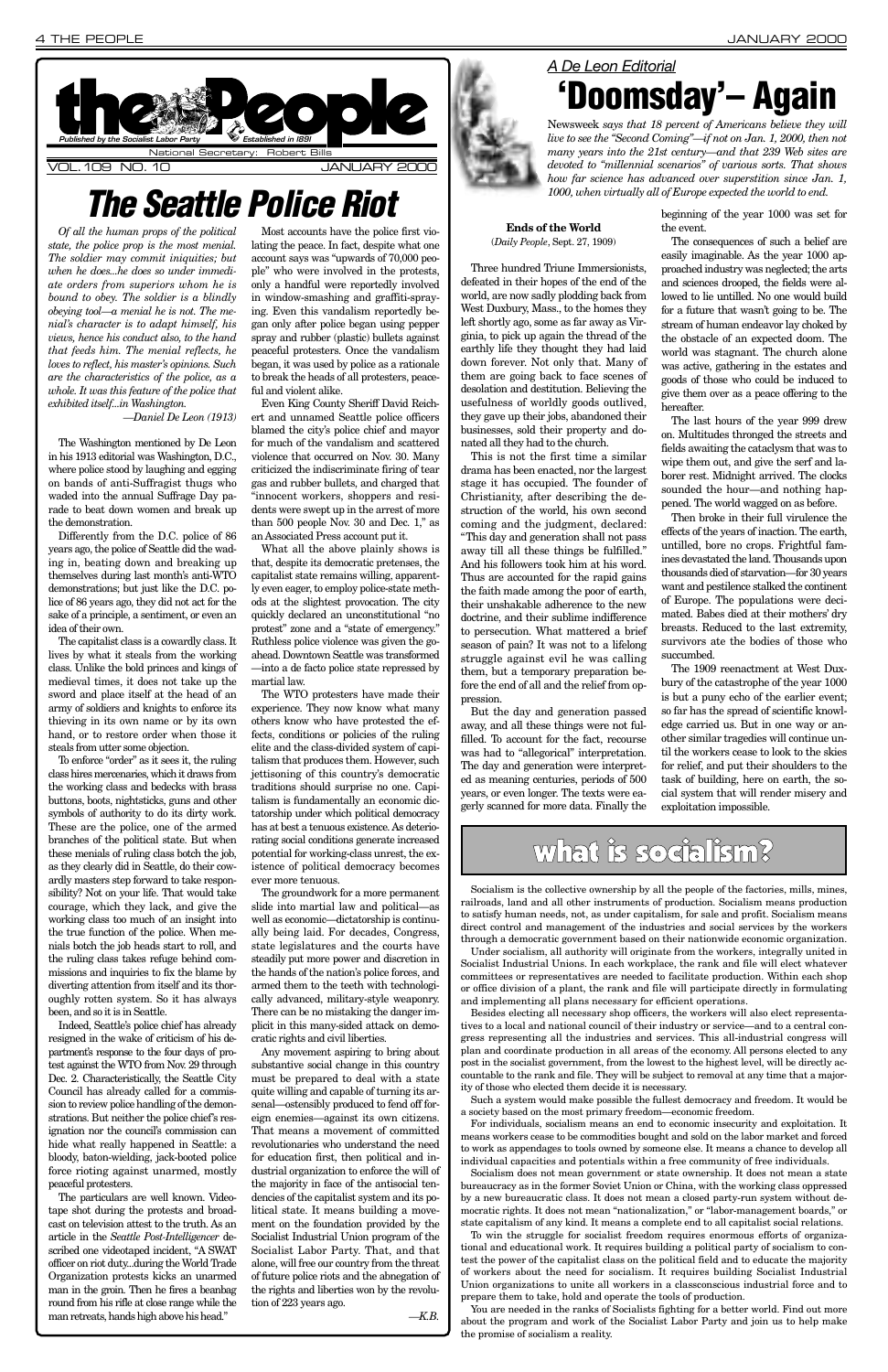*Of all the human props of the political state, the police prop is the most menial. The soldier may commit iniquities; but when he does...he does so under immediate orders from superiors whom he is bound to obey. The soldier is a blindly obeying tool—a menial he is not. The menial's character is to adapt himself, his views, hence his conduct also, to the hand that feeds him. The menial reflects, he loves to reflect, his master's opinions. Such are the characteristics of the police, as a whole. It was this feature of the police that exhibited itself...in Washington.*

*—Daniel De Leon (1913)*

The Washington mentioned by De Leon in his 1913 editorial was Washington, D.C., where police stood by laughing and egging on bands of anti-Suffragist thugs who waded into the annual Suffrage Day parade to beat down women and break up the demonstration.

Differently from the D.C. police of 86 years ago, the police of Seattle did the wading in, beating down and breaking up themselves during last month's anti-WTO demonstrations; but just like the D.C. police of 86 years ago, they did not act for the sake of a principle, a sentiment, or even an idea of their own.

The capitalist class is a cowardly class. It lives by what it steals from the working class. Unlike the bold princes and kings of medieval times, it does not take up the sword and place itself at the head of an army of soldiers and knights to enforce its thieving in its own name or by its own hand, or to restore order when those it steals from utter some objection.

To enforce "order" as it sees it, the ruling class hires mercenaries, which it draws from the working class and bedecks with brass buttons, boots, nightsticks, guns and other symbols of authority to do its dirty work. These are the police, one of the armed branches of the political state. But when these menials of ruling class botch the job, as they clearly did in Seattle, do their cowardly masters step forward to take responsibility? Not on your life. That would take courage, which they lack, and give the working class too much of an insight into the true function of the police. When menials botch the job heads start to roll, and the ruling class takes refuge behind commissions and inquiries to fix the blame by diverting attention from itself and its thoroughly rotten system. So it has always

been, and so it is in Seattle.

Indeed, Seattle's police chief has already resigned in the wake of criticism of his department's response to the four days of protest against the WTO from Nov. 29 through Dec. 2. Characteristically, the Seattle City Council has already called for a commission to review police handling of the demonstrations. But neither the police chief's resignation nor the council's commission can hide what really happened in Seattle: a bloody, baton-wielding, jack-booted police force rioting against unarmed, mostly peaceful protesters.

The particulars are well known. Videotape shot during the protests and broadcast on television attest to the truth. As an article in the *Seattle Post-Intelligencer* described one videotaped incident, "A SWAT officer on riot duty...during the World Trade Organization protests kicks an unarmed man in the groin. Then he fires a beanbag round from his rifle at close range while the man retreats, hands high above his head."

Most accounts have the police first violating the peace. In fact, despite what one account says was "upwards of 70,000 people" who were involved in the protests, only a handful were reportedly involved in window-smashing and graffiti-spraying. Even this vandalism reportedly began only after police began using pepper spray and rubber (plastic) bullets against peaceful protesters. Once the vandalism began, it was used by police as a rationale to break the heads of all protesters, peaceful and violent alike.

Even King County Sheriff David Reichert and unnamed Seattle police officers blamed the city's police chief and mayor for much of the vandalism and scattered violence that occurred on Nov. 30. Many criticized the indiscriminate firing of tear gas and rubber bullets, and charged that "innocent workers, shoppers and residents were swept up in the arrest of more than 500 people Nov. 30 and Dec. 1," as an Associated Press account put it.

What all the above plainly shows is that, despite its democratic pretenses, the capitalist state remains willing, apparently even eager, to employ police-state methods at the slightest provocation. The city quickly declared an unconstitutional "no protest" zone and a "state of emergency." Ruthless police violence was given the goahead. Downtown Seattle was transformed —into a de facto police state repressed by martial law.



The WTO protesters have made their experience. They now know what many others know who have protested the effects, conditions or policies of the ruling elite and the class-divided system of capitalism that produces them. However, such jettisoning of this country's democratic traditions should surprise no one. Capitalism is fundamentally an economic dictatorship under which political democracy has at best a tenuous existence. As deteriorating social conditions generate increased potential for working-class unrest, the existence of political democracy becomes ever more tenuous.

The groundwork for a more permanent slide into martial law and political—as well as economic—dictatorship is continually being laid. For decades, Congress, state legislatures and the courts have steadily put more power and discretion in the hands of the nation's police forces, and armed them to the teeth with technologically advanced, military-style weaponry. There can be no mistaking the danger implicit in this many-sided attack on democratic rights and civil liberties. Any movement aspiring to bring about substantive social change in this country must be prepared to deal with a state quite willing and capable of turning its arsenal—ostensibly produced to fend off foreign enemies—against its own citizens. That means a movement of committed revolutionaries who understand the need for education first, then political and industrial organization to enforce the will of the majority in face of the antisocial tendencies of the capitalist system and its political state. It means building a movement on the foundation provided by the Socialist Industrial Union program of the Socialist Labor Party. That, and that alone, will free our country from the threat of future police riots and the abnegation of the rights and liberties won by the revolution of 223 years ago. *—K.B.*

### **Ends of the World** (*Daily People*, Sept. 27, 1909)

Three hundred Triune Immersionists, defeated in their hopes of the end of the world, are now sadly plodding back from West Duxbury, Mass., to the homes they left shortly ago, some as far away as Virginia, to pick up again the thread of the earthly life they thought they had laid down forever. Not only that. Many of them are going back to face scenes of desolation and destitution. Believing the usefulness of worldly goods outlived, they gave up their jobs, abandoned their businesses, sold their property and donated all they had to the church.

This is not the first time a similar drama has been enacted, nor the largest stage it has occupied. The founder of Christianity, after describing the destruction of the world, his own second coming and the judgment, declared: "This day and generation shall not pass away till all these things be fulfilled." And his followers took him at his word. Thus are accounted for the rapid gains the faith made among the poor of earth, their unshakable adherence to the new doctrine, and their sublime indifference to persecution. What mattered a brief season of pain? It was not to a lifelong struggle against evil he was calling them, but a temporary preparation before the end of all and the relief from oppression.

But the day and generation passed away, and all these things were not fulfilled. To account for the fact, recourse was had to "allegorical" interpretation. The day and generation were interpreted as meaning centuries, periods of 500 years, or even longer. The texts were eagerly scanned for more data. Finally the beginning of the year 1000 was set for the event.

The consequences of such a belief are easily imaginable. As the year 1000 approached industry was neglected; the arts and sciences drooped, the fields were allowed to lie untilled. No one would build for a future that wasn't going to be. The stream of human endeavor lay choked by the obstacle of an expected doom. The world was stagnant. The church alone was active, gathering in the estates and goods of those who could be induced to give them over as a peace offering to the hereafter.

The last hours of the year 999 drew on. Multitudes thronged the streets and fields awaiting the cataclysm that was to wipe them out, and give the serf and laborer rest. Midnight arrived. The clocks sounded the hour—and nothing happened. The world wagged on as before.

Then broke in their full virulence the effects of the years of inaction. The earth, untilled, bore no crops. Frightful famines devastated the land. Thousands upon thousands died of starvation—for 30 years want and pestilence stalked the continent of Europe. The populations were decimated. Babes died at their mothers' dry breasts. Reduced to the last extremity, survivors ate the bodies of those who succumbed.

The 1909 reenactment at West Duxbury of the catastrophe of the year 1000 is but a puny echo of the earlier event; so far has the spread of scientific knowledge carried us. But in one way or another similar tragedies will continue until the workers cease to look to the skies for relief, and put their shoulders to the task of building, here on earth, the social system that will render misery and exploitation impossible.

## what is socialism?

## **The Seattle Police Riot**

### *A De Leon Editorial* **'Doomsday'– Again**

Newsweek *says that 18 percent of Americans believe they will live to see the "Second Coming"—if not on Jan. 1, 2000, then not many years into the 21st century—and that 239 Web sites are devoted to "millennial scenarios" of various sorts. That shows how far science has advanced over superstition since Jan. 1, 1000, when virtually all of Europe expected the world to end.* 

Socialism is the collective ownership by all the people of the factories, mills, mines, railroads, land and all other instruments of production. Socialism means production to satisfy human needs, not, as under capitalism, for sale and profit. Socialism means direct control and management of the industries and social services by the workers through a democratic government based on their nationwide economic organization.

Under socialism, all authority will originate from the workers, integrally united in Socialist Industrial Unions. In each workplace, the rank and file will elect whatever committees or representatives are needed to facilitate production. Within each shop or office division of a plant, the rank and file will participate directly in formulating and implementing all plans necessary for efficient operations. Besides electing all necessary shop officers, the workers will also elect representatives to a local and national council of their industry or service—and to a central congress representing all the industries and services. This all-industrial congress will plan and coordinate production in all areas of the economy. All persons elected to any post in the socialist government, from the lowest to the highest level, will be directly accountable to the rank and file. They will be subject to removal at any time that a majority of those who elected them decide it is necessary. Such a system would make possible the fullest democracy and freedom. It would be a society based on the most primary freedom—economic freedom.

For individuals, socialism means an end to economic insecurity and exploitation. It means workers cease to be commodities bought and sold on the labor market and forced to work as appendages to tools owned by someone else. It means a chance to develop all individual capacities and potentials within a free community of free individuals.

Socialism does not mean government or state ownership. It does not mean a state bureaucracy as in the former Soviet Union or China, with the working class oppressed by a new bureaucratic class. It does not mean a closed party-run system without democratic rights. It does not mean "nationalization," or "labor-management boards," or state capitalism of any kind. It means a complete end to all capitalist social relations.

To win the struggle for socialist freedom requires enormous efforts of organizational and educational work. It requires building a political party of socialism to contest the power of the capitalist class on the political field and to educate the majority of workers about the need for socialism. It requires building Socialist Industrial Union organizations to unite all workers in a classconscious industrial force and to prepare them to take, hold and operate the tools of production.

You are needed in the ranks of Socialists fighting for a better world. Find out more about the program and work of the Socialist Labor Party and join us to help make the promise of socialism a reality.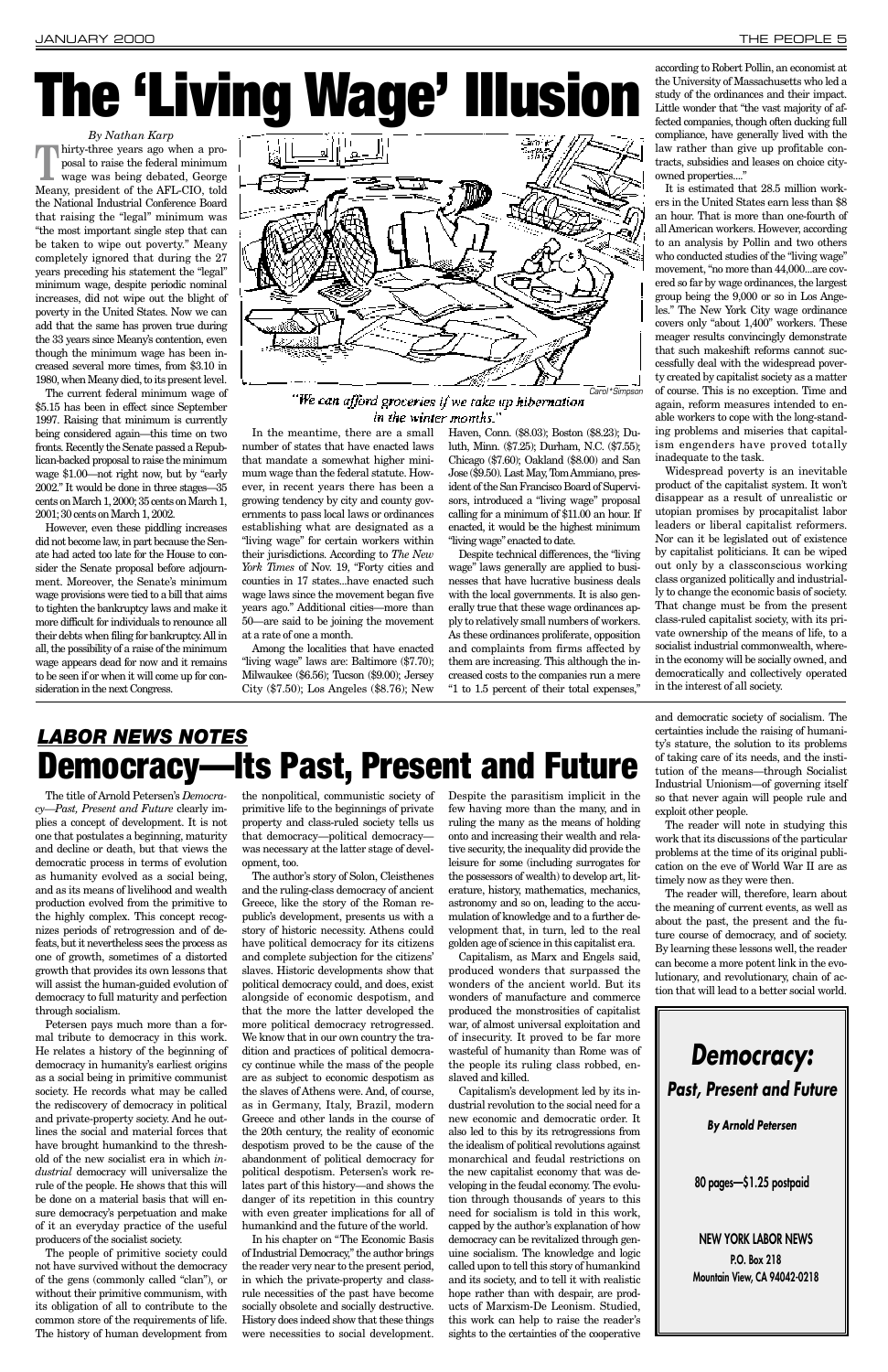### *By Nathan Karp*

**Thirty-three years ago when a proposal to raise the federal minimum<br>wage was being debated, George** posal to raise the federal minimum wage was being debated, George Meany, president of the AFL-CIO, told the National Industrial Conference Board that raising the "legal" minimum was "the most important single step that can be taken to wipe out poverty." Meany completely ignored that during the 27 years preceding his statement the "legal" minimum wage, despite periodic nominal increases, did not wipe out the blight of poverty in the United States. Now we can add that the same has proven true during the 33 years since Meany's contention, even though the minimum wage has been increased several more times, from \$3.10 in 1980, when Meany died, to its present level.

The current federal minimum wage of \$5.15 has been in effect since September 1997. Raising that minimum is currently being considered again—this time on two fronts. Recently the Senate passed a Republican-backed proposal to raise the minimum wage \$1.00—not right now, but by "early 2002." It would be done in three stages—35 cents on March 1, 2000; 35 cents on March 1, 2001; 30 cents on March 1, 2002.

However, even these piddling increases did not become law, in part because the Senate had acted too late for the House to consider the Senate proposal before adjournment. Moreover, the Senate's minimum wage provisions were tied to a bill that aims to tighten the bankruptcy laws and make it more difficult for individuals to renounce all their debts when filing for bankruptcy. All in all, the possibility of a raise of the minimum wage appears dead for now and it remains to be seen if or when it will come up for consideration in the next Congress.

In the meantime, there are a small number of states that have enacted laws that mandate a somewhat higher minimum wage than the federal statute. However, in recent years there has been a growing tendency by city and county governments to pass local laws or ordinances establishing what are designated as a "living wage" for certain workers within their jurisdictions. According to *The New York Times* of Nov. 19, "Forty cities and counties in 17 states...have enacted such wage laws since the movement began five years ago." Additional cities—more than 50—are said to be joining the movement at a rate of one a month.

Among the localities that have enacted "living wage" laws are: Baltimore (\$7.70); Milwaukee (\$6.56); Tucson (\$9.00); Jersey City (\$7.50); Los Angeles (\$8.76); New Haven, Conn. (\$8.03); Boston (\$8.23); Duluth, Minn. (\$7.25); Durham, N.C. (\$7.55); Chicago (\$7.60); Oakland (\$8.00) and San Jose (\$9.50). Last May, Tom Ammiano, president of the San Francisco Board of Supervisors, introduced a "living wage" proposal calling for a minimum of \$11.00 an hour. If enacted, it would be the highest minimum "living wage" enacted to date.

Despite technical differences, the "living wage" laws generally are applied to businesses that have lucrative business deals with the local governments. It is also generally true that these wage ordinances apply to relatively small numbers of workers. As these ordinances proliferate, opposition and complaints from firms affected by them are increasing. This although the increased costs to the companies run a mere "1 to 1.5 percent of their total expenses,"

according to Robert Pollin, an economist at the University of Massachusetts who led a study of the ordinances and their impact. Little wonder that "the vast majority of affected companies, though often ducking full compliance, have generally lived with the law rather than give up profitable contracts, subsidies and leases on choice cityowned properties...."

It is estimated that 28.5 million workers in the United States earn less than \$8 an hour. That is more than one-fourth of all American workers. However, according to an analysis by Pollin and two others who conducted studies of the "living wage" movement, "no more than 44,000...are covered so far by wage ordinances, the largest group being the 9,000 or so in Los Angeles." The New York City wage ordinance covers only "about 1,400" workers. These meager results convincingly demonstrate that such makeshift reforms cannot successfully deal with the widespread poverty created by capitalist society as a matter of course. This is no exception. Time and again, reform measures intended to enable workers to cope with the long-standing problems and miseries that capitalism engenders have proved totally inadequate to the task.

Widespread poverty is an inevitable product of the capitalist system. It won't disappear as a result of unrealistic or utopian promises by procapitalist labor leaders or liberal capitalist reformers. Nor can it be legislated out of existence by capitalist politicians. It can be wiped out only by a classconscious working class organized politically and industrially to change the economic basis of society. That change must be from the present class-ruled capitalist society, with its private ownership of the means of life, to a socialist industrial commonwealth, wherein the economy will be socially owned, and democratically and collectively operated in the interest of all society.

The title of Arnold Petersen's *Democracy—Past, Present and Future* clearly implies a concept of development. It is not one that postulates a beginning, maturity and decline or death, but that views the democratic process in terms of evolution as humanity evolved as a social being, and as its means of livelihood and wealth production evolved from the primitive to the highly complex. This concept recognizes periods of retrogression and of defeats, but it nevertheless sees the process as one of growth, sometimes of a distorted growth that provides its own lessons that will assist the human-guided evolution of democracy to full maturity and perfection through socialism. Petersen pays much more than a formal tribute to democracy in this work. He relates a history of the beginning of democracy in humanity's earliest origins as a social being in primitive communist society. He records what may be called the rediscovery of democracy in political and private-property society. And he outlines the social and material forces that have brought humankind to the threshold of the new socialist era in which *industrial* democracy will universalize the rule of the people. He shows that this will be done on a material basis that will ensure democracy's perpetuation and make of it an everyday practice of the useful producers of the socialist society. The people of primitive society could not have survived without the democracy of the gens (commonly called "clan"), or without their primitive communism, with its obligation of all to contribute to the common store of the requirements of life. The history of human development from

the nonpolitical, communistic society of primitive life to the beginnings of private property and class-ruled society tells us that democracy—political democracy was necessary at the latter stage of development, too.

The author's story of Solon, Cleisthenes and the ruling-class democracy of ancient Greece, like the story of the Roman republic's development, presents us with a story of historic necessity. Athens could have political democracy for its citizens and complete subjection for the citizens' slaves. Historic developments show that political democracy could, and does, exist alongside of economic despotism, and that the more the latter developed the more political democracy retrogressed. We know that in our own country the tradition and practices of political democracy continue while the mass of the people are as subject to economic despotism as the slaves of Athens were. And, of course, as in Germany, Italy, Brazil, modern Greece and other lands in the course of the 20th century, the reality of economic despotism proved to be the cause of the abandonment of political democracy for political despotism. Petersen's work relates part of this history—and shows the danger of its repetition in this country with even greater implications for all of humankind and the future of the world. In his chapter on "The Economic Basis of Industrial Democracy," the author brings the reader very near to the present period, in which the private-property and classrule necessities of the past have become socially obsolete and socially destructive. History does indeed show that these things were necessities to social development.

Despite the parasitism implicit in the few having more than the many, and in ruling the many as the means of holding onto and increasing their wealth and relative security, the inequality did provide the leisure for some (including surrogates for the possessors of wealth) to develop art, literature, history, mathematics, mechanics, astronomy and so on, leading to the accumulation of knowledge and to a further development that, in turn, led to the real golden age of science in this capitalist era.

Capitalism, as Marx and Engels said, produced wonders that surpassed the wonders of the ancient world. But its wonders of manufacture and commerce produced the monstrosities of capitalist war, of almost universal exploitation and of insecurity. It proved to be far more wasteful of humanity than Rome was of the people its ruling class robbed, enslaved and killed. Capitalism's development led by its industrial revolution to the social need for a new economic and democratic order. It also led to this by its retrogressions from the idealism of political revolutions against monarchical and feudal restrictions on the new capitalist economy that was developing in the feudal economy. The evolution through thousands of years to this need for socialism is told in this work, capped by the author's explanation of how democracy can be revitalized through genuine socialism. The knowledge and logic called upon to tell this story of humankind and its society, and to tell it with realistic hope rather than with despair, are products of Marxism-De Leonism. Studied, this work can help to raise the reader's sights to the certainties of the cooperative

### and democratic society of socialism. The certainties include the raising of humanity's stature, the solution to its problems of taking care of its needs, and the institution of the means—through Socialist Industrial Unionism—of governing itself so that never again will people rule and exploit other people.

The reader will note in studying this work that its discussions of the particular problems at the time of its original publication on the eve of World War II are as timely now as they were then.

The reader will, therefore, learn about the meaning of current events, as well as about the past, the present and the future course of democracy, and of society. By learning these lessons well, the reader can become a more potent link in the evolutionary, and revolutionary, chain of action that will lead to a better social world.

## *LABOR NEWS NOTES* **Democracy—Its Past, Present and Future**



### "We can afford groceries if we take up hibernation in the winter months."

# **The 'Living Wage' Illusion**

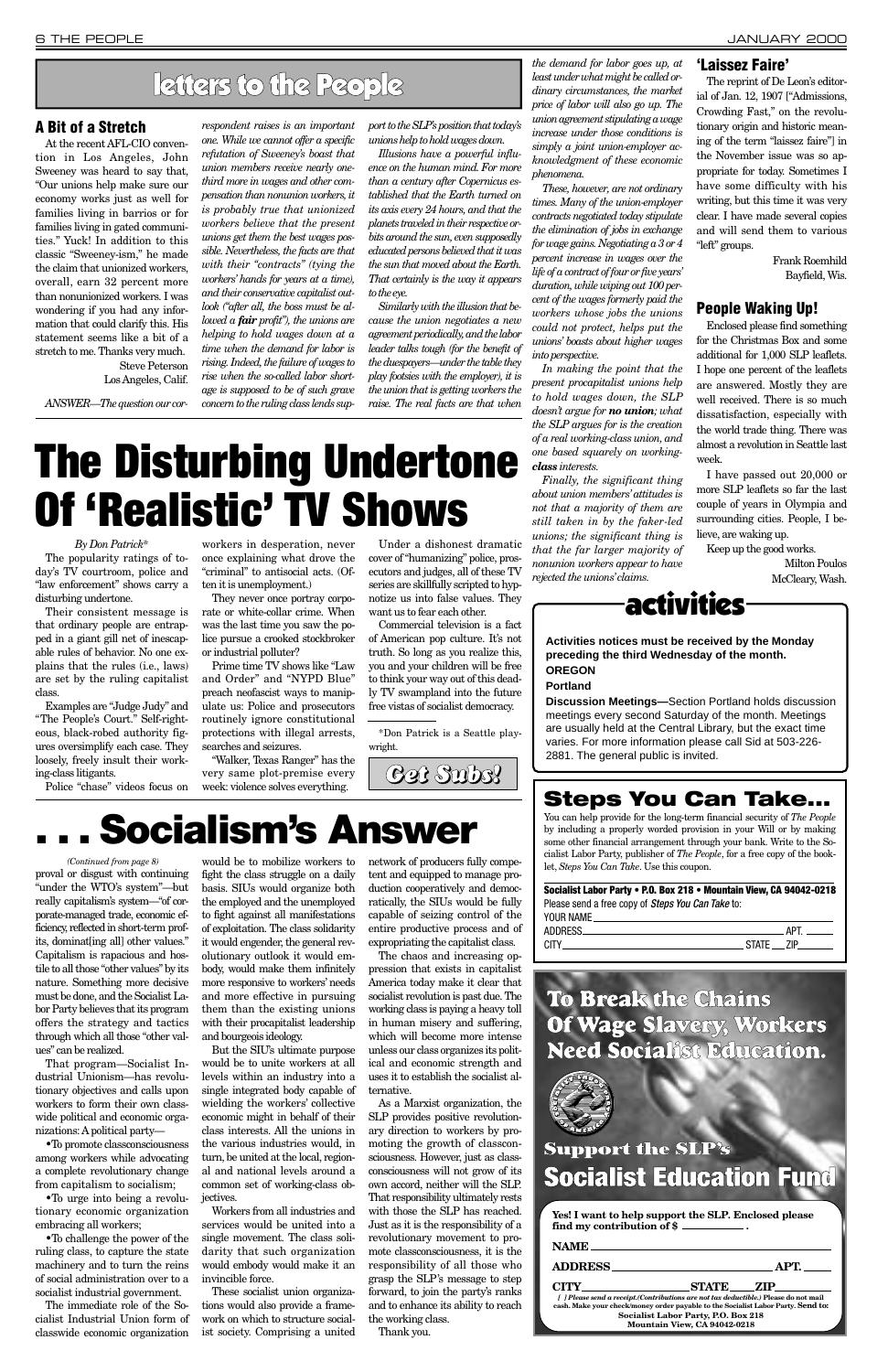•To promote classconsciousness among workers while advocating a complete revolutionary change from capitalism to socialism;

•To urge into being a revolutionary economic organization embracing all workers;

•To challenge the power of the ruling class, to capture the state machinery and to turn the reins of social administration over to a socialist industrial government.

The immediate role of the Socialist Industrial Union form of classwide economic organization would be to mobilize workers to fight the class struggle on a daily basis. SIUs would organize both the employed and the unemployed to fight against all manifestations of exploitation. The class solidarity it would engender, the general revolutionary outlook it would embody, would make them infinitely more responsive to workers' needs and more effective in pursuing

them than the existing unions with their procapitalist leadership and bourgeois ideology.

proval or disgust with continuing "under the WTO's system"—but really capitalism's system—"of corporate-managed trade, economic efficiency, reflected in short-term profits, dominat[ing all] other values." Capitalism is rapacious and hostile to all those "other values" by its nature. Something more decisive must be done, and the Socialist Labor Party believes that its program offers the strategy and tactics through which all those "other values" can be realized. That program—Socialist Industrial Unionism—has revolutionary objectives and calls upon workers to form their own classwide political and economic organizations: Apolitical party— *(Continued from page 8)*

But the SIU's ultimate purpose would be to unite workers at all levels within an industry into a single integrated body capable of wielding the workers' collective economic might in behalf of their class interests. All the unions in the various industries would, in turn, be united at the local, regional and national levels around a common set of working-class objectives.

Workers from all industries and services would be united into a single movement. The class solidarity that such organization would embody would make it an invincible force.

These socialist union organizations would also provide a framework on which to structure socialist society. Comprising a united network of producers fully competent and equipped to manage production cooperatively and democratically, the SIUs would be fully capable of seizing control of the entire productive process and of expropriating the capitalist class.

The chaos and increasing oppression that exists in capitalist America today make it clear that socialist revolution is past due. The working class is paying a heavy toll in human misery and suffering, which will become more intense unless our class organizes its political and economic strength and uses it to establish the socialist alternative. As a Marxist organization, the SLP provides positive revolutionary direction to workers by promoting the growth of classconsciousness. However, just as classconsciousness will not grow of its own accord, neither will the SLP. That responsibility ultimately rests with those the SLP has reached. Just as it is the responsibility of a revolutionary movement to promote classconsciousness, it is the responsibility of all those who grasp the SLP's message to step forward, to join the party's ranks and to enhance its ability to reach the working class. Thank you.



# **The Disturbing Undertone Of 'Realistic' TV Shows**

#### *By Don Patrick\**

The popularity ratings of today's TV courtroom, police and "law enforcement" shows carry a disturbing undertone.

Their consistent message is that ordinary people are entrapped in a giant gill net of inescapable rules of behavior. No one explains that the rules (i.e., laws) are set by the ruling capitalist class.

Examples are "Judge Judy" and "The People's Court." Self-righteous, black-robed authority figures oversimplify each case. They loosely, freely insult their working-class litigants.

Police "chase" videos focus on

workers in desperation, never once explaining what drove the "criminal" to antisocial acts. (Often it is unemployment.)

They never once portray corporate or white-collar crime. When was the last time you saw the police pursue a crooked stockbroker or industrial polluter?

Prime time TV shows like "Law and Order" and "NYPD Blue" preach neofascist ways to manipulate us: Police and prosecutors routinely ignore constitutional protections with illegal arrests, searches and seizures.

"Walker, Texas Ranger" has the very same plot-premise every week: violence solves everything.

Under a dishonest dramatic cover of "humanizing" police, prosecutors and judges, all of these TV series are skillfully scripted to hypnotize us into false values. They want us to fear each other.

Commercial television is a fact of American pop culture. It's not truth. So long as you realize this, you and your children will be free to think your way out of this deadly TV swampland into the future free vistas of socialist democracy.

> **Socialist Labor Party • P.O. Box 218 • Mountain View, CA 94042-0218** Please send a free copy of Steps You Can Take to: YOUR NAME

\*Don Patrick is a Seattle playwright.

### **A Bit of a Stretch**

At the recent AFL-CIO convention in Los Angeles, John Sweeney was heard to say that, "Our unions help make sure our economy works just as well for families living in barrios or for families living in gated communities." Yuck! In addition to this classic "Sweeney-ism," he made the claim that unionized workers, overall, earn 32 percent more than nonunionized workers. I was wondering if you had any information that could clarify this. His statement seems like a bit of a stretch to me. Thanks very much.

> Steve Peterson Los Angeles, Calif.

*ANSWER—The question our cor-*

*respondent raises is an important one. While we cannot offer a specific refutation of Sweeney's boast that union members receive nearly onethird more in wages and other compensation than nonunion workers, it is probably true that unionized workers believe that the present unions get them the best wages possible. Nevertheless, the facts are that with their "contracts" (tying the workers' hands for years at a time), and their conservative capitalist outlook ("after all, the boss must be allowed a fair profit"), the unions are helping to hold wages down at a time when the demand for labor is rising. Indeed, the failure of wages to rise when the so-called labor shortage is supposed to be of such grave concern to the ruling class lends sup-* *port to the SLP's position that today's unions help to hold wages down.*

*Illusions have a powerful influence on the human mind. For more than a century after Copernicus established that the Earth turned on its axis every 24 hours, and that the planets traveled in their respective orbits around the sun, even supposedly educated persons believed that it was the sun that moved about the Earth. That certainly is the way it appears to the eye.*

*Similarly with the illusion that because the union negotiates a new agreement periodically, and the labor leader talks tough (for the benefit of the duespayers—under the table they play footsies with the employer), it is the union that is getting workers the raise. The real facts are that when*

*the demand for labor goes up, at*

*least under what might be called ordinary circumstances, the market price of labor will also go up. The union agreement stipulating a wage increase under those conditions is simply a joint union-employer acknowledgment of these economic phenomena.*

*These, however, are not ordinary times. Many of the union-employer contracts negotiated today stipulate the elimination of jobs in exchange for wage gains. Negotiating a 3 or 4 percent increase in wages over the life of a contract of four or five years' duration, while wiping out 100 percent of the wages formerly paid the workers whose jobs the unions could not protect, helps put the unions' boasts about higher wages into perspective.*

*In making the point that the present procapitalist unions help to hold wages down, the SLP doesn't argue for no union; what the SLP argues for is the creation of a real working-class union, and one based squarely on workingclass interests.*

*Finally, the significant thing about union members' attitudes is not that a majority of them are still taken in by the faker-led unions; the significant thing is that the far larger majority of nonunion workers appear to have rejected the unions'claims.*

**'Laissez Faire'**

### The reprint of De Leon's editorial of Jan. 12, 1907 ["Admissions, Crowding Fast," on the revolutionary origin and historic meaning of the term "laissez faire"] in the November issue was so appropriate for today. Sometimes I

have some difficulty with his writing, but this time it was very clear. I have made several copies and will send them to various "left" groups.

> Frank Roemhild Bayfield, Wis.

### **People Waking Up!**

Enclosed please find something for the Christmas Box and some additional for 1,000 SLP leaflets. I hope one percent of the leaflets are answered. Mostly they are well received. There is so much dissatisfaction, especially with the world trade thing. There was almost a revolution in Seattle last week.

I have passed out 20,000 or more SLP leaflets so far the last couple of years in Olympia and surrounding cities. People, I believe, are waking up.

Keep up the good works.

Milton Poulos McCleary, Wash.

## letters to the People

activities

**Activities notices must be received by the Monday preceding the third Wednesday of the month.**

**OREGON Portland**

**Discussion Meetings—**Section Portland holds discussion meetings every second Saturday of the month. Meetings are usually held at the Central Library, but the exact time varies. For more information please call Sid at 503-226-

2881. The general public is invited.

### **Steps You Can Take...**

You can help provide for the long-term financial security of *The People* by including a properly worded provision in your Will or by making some other financial arrangement through your bank. Write to the Socialist Labor Party, publisher of *The People*, for a free copy of the booklet, *Steps You Can Take*. Use this coupon.

|          | <u>I UUN IVAIVIE _________________________________</u> |      |  |
|----------|--------------------------------------------------------|------|--|
| ADDRESS_ |                                                        | - AP |  |
| CITY     | <b>STATE</b>                                           |      |  |
|          |                                                        |      |  |

### **To Break the Chains**

### **Of Wage Slavery, Workers Need Socialist Education.**



### **Support the SLP's Socialist Education Fund**

| Yes! I want to help support the SLP. Enclosed please<br>find my contribution of \$ |                                                                                       |            |
|------------------------------------------------------------------------------------|---------------------------------------------------------------------------------------|------------|
| NAME                                                                               |                                                                                       |            |
|                                                                                    |                                                                                       | <b>APT</b> |
| CITY                                                                               | <b>STATE ZIP</b>                                                                      |            |
| cash. Make your check/money order payable to the Socialist Labor Party. Send to:   | [ ] Please send a receipt. (Contributions are not tax deductible.) Please do not mail |            |
|                                                                                    | Socialist Labor Party, P.O. Box 218<br>Mountain View, CA 94042-0218                   |            |

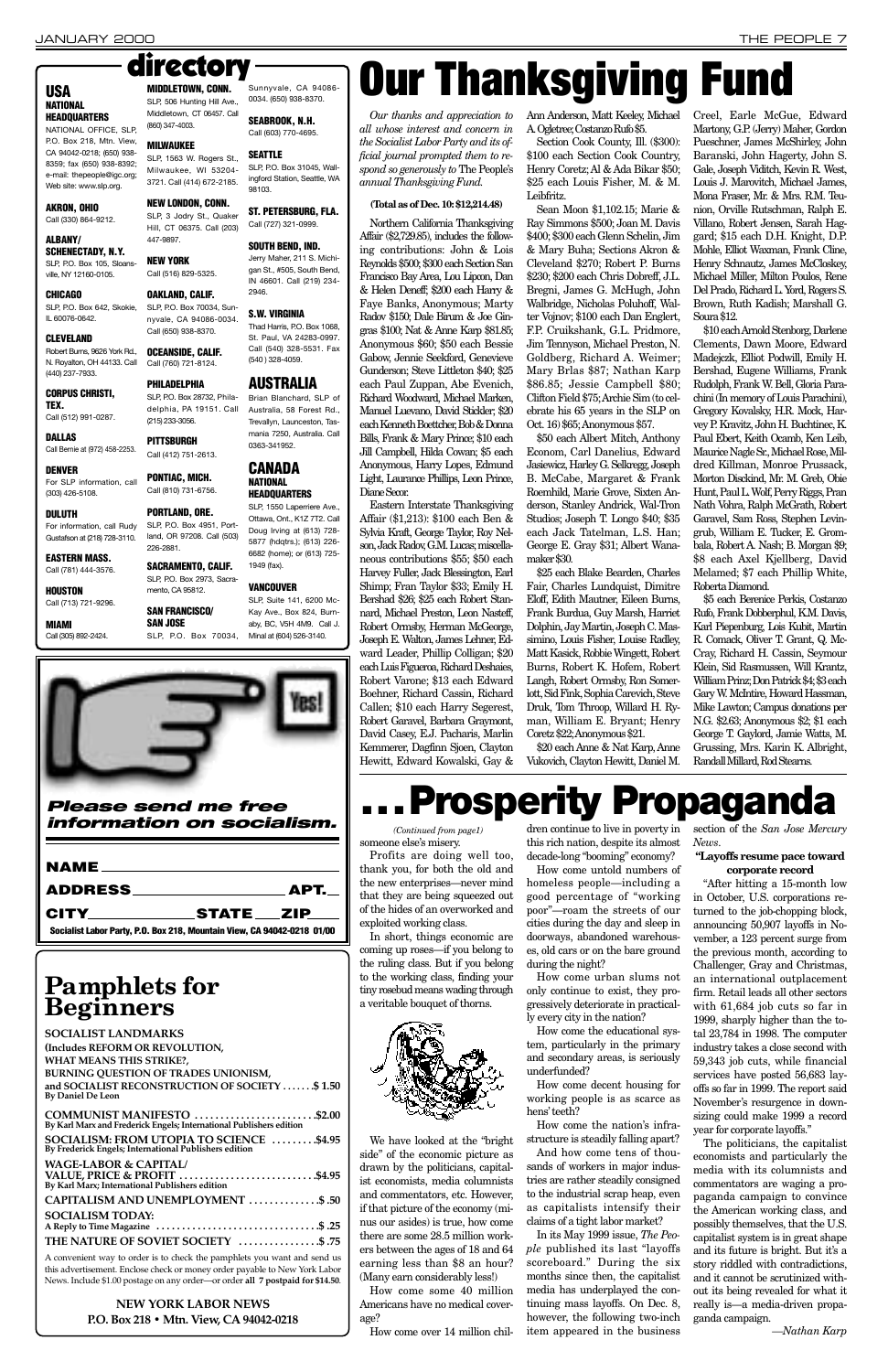Profits are doing well too, thank you, for both the old and the new enterprises—never mind that they are being squeezed out of the hides of an overworked and exploited working class.

In short, things economic are coming up roses—if you belong to the ruling class. But if you belong to the working class, finding your tiny rosebud means wading through a veritable bouquet of thorns.

We have looked at the "bright side" of the economic picture as drawn by the politicians, capitalist economists, media columnists and commentators, etc. However, if that picture of the economy (minus our asides) is true, how come there are some 28.5 million workers between the ages of 18 and 64 earning less than \$8 an hour? (Many earn considerably less!) How come some 40 million

Americans have no medical coverage?

How come over 14 million chil-

dren continue to live in poverty in this rich nation, despite its almost decade-long "booming" economy?

How come untold numbers of homeless people—including a good percentage of "working poor"—roam the streets of our cities during the day and sleep in doorways, abandoned warehouses, old cars or on the bare ground during the night?

How come urban slums not only continue to exist, they progressively deteriorate in practical-

ly every city in the nation?

How come the educational system, particularly in the primary and secondary areas, is seriously underfunded?

How come decent housing for working people is as scarce as hens'teeth?

How come the nation's infrastructure is steadily falling apart? And how come tens of thousands of workers in major industries are rather steadily consigned to the industrial scrap heap, even as capitalists intensify their claims of a tight labor market?

Northern California Thanksgiving Affair (\$2,729.85), includes the following contributions: John & Lois Reynolds \$500; \$300 each Section San Francisco Bay Area, Lou Lipcon, Dan & Helen Deneff; \$200 each Harry & Faye Banks, Anonymous; Marty Radov \$150; Dale Birum & Joe Gingras \$100; Nat & Anne Karp \$81.85; Anonymous \$60; \$50 each Bessie Gabow, Jennie Seekford, Genevieve Gunderson; Steve Littleton \$40; \$25 each Paul Zuppan, Abe Evenich, Richard Woodward, Michael Marken, Manuel Luevano, David Stickler; \$20 each Kenneth Boettcher, Bob & Donna Bills, Frank & Mary Prince; \$10 each Jill Campbell, Hilda Cowan; \$5 each Anonymous, Harry Lopes, Edmund Light, Laurance Phillips, Leon Prince, Diane Secor.

> In its May 1999 issue, *The People* published its last "layoffs scoreboard." During the six months since then, the capitalist media has underplayed the continuing mass layoffs. On Dec. 8, however, the following two-inch item appeared in the business

section of the *San Jose Mercury News*.

### **"Layoffs resume pace toward corporate record**

"After hitting a 15-month low in October, U.S. corporations returned to the job-chopping block, announcing 50,907 layoffs in November, a 123 percent surge from the previous month, according to Challenger, Gray and Christmas, an international outplacement firm. Retail leads all other sectors with 61,684 job cuts so far in 1999, sharply higher than the total 23,784 in 1998. The computer industry takes a close second with 59,343 job cuts, while financial services have posted 56,683 layoffs so far in 1999. The report said November's resurgence in downsizing could make 1999 a record year for corporate layoffs." The politicians, the capitalist economists and particularly the media with its columnists and commentators are waging a propaganda campaign to convince the American working class, and possibly themselves, that the U.S. capitalist system is in great shape and its future is bright. But it's a story riddled with contradictions, and it cannot be scrutinized without its being revealed for what it really is—a media-driven propaganda campaign.

*—Nathan Karp*

### JANUARY 2000 THE PEOPLE 7

### **Please send me free information on socialism.**

| CITY______________STATE___ZIP____                                       |  |
|-------------------------------------------------------------------------|--|
| Socialist Labor Party, P.O. Box 218, Mountain View, CA 94042-0218 01/00 |  |

*Our thanks and appreciation to all whose interest and concern in the Socialist Labor Party and its official journal prompted them to respond so generously to* The People's *annual Thanksgiving Fund.* 

### **(Total as of Dec. 10: \$12,214.48)**

Eastern Interstate Thanksgiving Affair (\$1,213): \$100 each Ben & Sylvia Kraft, George Taylor, Roy Nelson, Jack Radov, G.M. Lucas; miscellaneous contributions \$55; \$50 each Harvey Fuller, Jack Blessington, Earl Shimp; Fran Taylor \$33; Emily H. Bershad \$26; \$25 each Robert Stannard, Michael Preston, Leon Nasteff, Robert Ormsby, Herman McGeorge, Joseph E. Walton, James Lehner, Edward Leader, Phillip Colligan; \$20 each Luis Figueroa, Richard Deshaies, Robert Varone; \$13 each Edward Boehner, Richard Cassin, Richard Callen; \$10 each Harry Segerest, Robert Garavel, Barbara Graymont, David Casey, E.J. Pacharis, Marlin Kemmerer, Dagfinn Sjoen, Clayton Hewitt, Edward Kowalski, Gay & Ann Anderson, Matt Keeley, Michael A. Ogletree; Costanzo Rufo \$5.

Section Cook County, Ill. (\$300): \$100 each Section Cook Country, Henry Coretz; Al & Ada Bikar \$50; \$25 each Louis Fisher, M. & M. Leibfritz.

Sean Moon \$1,102.15; Marie & Ray Simmons \$500; Joan M. Davis \$400; \$300 each Glenn Schelin, Jim & Mary Buha; Sections Akron & Cleveland \$270; Robert P. Burns \$230; \$200 each Chris Dobreff, J.L. Bregni, James G. McHugh, John Walbridge, Nicholas Poluhoff, Walter Vojnov; \$100 each Dan Englert, F.P. Cruikshank, G.L. Pridmore, Jim Tennyson, Michael Preston, N. Goldberg, Richard A. Weimer; Mary Brlas \$87; Nathan Karp \$86.85; Jessie Campbell \$80; Clifton Field \$75; Archie Sim (to celebrate his 65 years in the SLP on Oct. 16) \$65; Anonymous \$57.

someone else's misery. *(Continued from page1)*

\$50 each Albert Mitch, Anthony Econom, Carl Danelius, Edward Jasiewicz, Harley G. Selkregg, Joseph B. McCabe, Margaret & Frank Roemhild, Marie Grove, Sixten Anderson, Stanley Andrick, Wal-Tron Studios; Joseph T. Longo \$40; \$35 each Jack Tatelman, L.S. Han; George E. Gray \$31; Albert Wanamaker \$30.

\$25 each Blake Bearden, Charles Fair, Charles Lundquist, Dimitre Eloff, Edith Mautner, Eileen Burns, Frank Burdua, Guy Marsh, Harriet Dolphin, Jay Martin, Joseph C. Massimino, Louis Fisher, Louise Radley, Matt Kasick, Robbie Wingett, Robert Burns, Robert K. Hofem, Robert Langh, Robert Ormsby, Ron Somerlott, Sid Fink, Sophia Carevich, Steve Druk, Tom Throop, Willard H. Ryman, William E. Bryant; Henry Coretz \$22; Anonymous \$21.

\$20 each Anne & Nat Karp, Anne Vukovich, Clayton Hewitt, Daniel M.

Creel, Earle McGue, Edward Martony, G.P. (Jerry) Maher, Gordon Pueschner, James McShirley, John Baranski, John Hagerty, John S. Gale, Joseph Viditch, Kevin R. West, Louis J. Marovitch, Michael James, Mona Fraser, Mr. & Mrs. R.M. Teunion, Orville Rutschman, Ralph E. Villano, Robert Jensen, Sarah Haggard; \$15 each D.H. Knight, D.P. Mohle, Elliot Waxman, Frank Cline, Henry Schnautz, James McCloskey, Michael Miller, Milton Poulos, Rene Del Prado, Richard L. Yord, Rogers S. Brown, Ruth Kadish; Marshall G. Soura \$12.

\$10 each Arnold Stenborg, Darlene Clements, Dawn Moore, Edward Madejczk, Elliot Podwill, Emily H. Bershad, Eugene Williams, Frank Rudolph, Frank W. Bell, Gloria Parachini (In memory of Louis Parachini), Gregory Kovalsky, H.R. Mock, Harvey P. Kravitz, John H. Buchtinec, K. Paul Ebert, Keith Ocamb, Ken Leib, Maurice Nagle Sr., Michael Rose, Mildred Killman, Monroe Prussack, Morton Disckind, Mr. M. Greb, Obie Hunt, Paul L. Wolf, Perry Riggs, Pran Nath Vohra, Ralph McGrath, Robert Garavel, Sam Ross, Stephen Levingrub, William E. Tucker, E. Grombala, Robert A. Nash; B. Morgan \$9; \$8 each Axel Kjellberg, David Melamed; \$7 each Phillip White, Roberta Diamond.

\$5 each Berenice Perkis, Costanzo Rufo, Frank Dobberphul, K.M. Davis, Karl Piepenburg, Lois Kubit, Martin R. Comack, Oliver T. Grant, Q. Mc-Cray, Richard H. Cassin, Seymour Klein, Sid Rasmussen, Will Krantz, William Prinz; Don Patrick \$4; \$3 each Gary W. McIntire, Howard Hassman, Mike Lawton; Campus donations per N.G. \$2.63; Anonymous \$2; \$1 each George T. Gaylord, Jamie Watts, M. Grussing, Mrs. Karin K. Albright, Randall Millard, Rod Stearns.

# **Our Thanksgiving Fund**

# **Pamphlets for**

### **Beginners**

**SOCIALIST LANDMARKS (Includes REFORM OR REVOLUTION, WHAT MEANS THIS STRIKE?, BURNING QUESTION OF TRADES UNIONISM, and SOCIALIST RECONSTRUCTION OF SOCIETY . . . . . . .\$ 1.50 By Daniel De Leon**

| COMMUNIST MANIFESTO \$2.00<br>By Karl Marx and Frederick Engels; International Publishers edition                  |  |
|--------------------------------------------------------------------------------------------------------------------|--|
| SOCIALISM: FROM UTOPIA TO SCIENCE \$4.95<br>By Frederick Engels; International Publishers edition                  |  |
| <b>WAGE-LABOR &amp; CAPITAL/</b><br>VALUE, PRICE & PROFIT \$4.95<br>By Karl Marx; International Publishers edition |  |
| CAPITALISM AND UNEMPLOYMENT \$.50                                                                                  |  |
| <b>SOCIALISM TODAY:</b>                                                                                            |  |
| THE NATURE OF SOVIET SOCIETY \$.75                                                                                 |  |
| A convenient way to order is to check the pamphlets you want and send us                                           |  |

A convenient way to order is to check the pamphlets you want and send us this advertisement. Enclose check or money order payable to New York Labor News. Include \$1.00 postage on any order—or order **all 7 postpaid for \$14.50**.

### **NEW YORK LABOR NEWS P.O. Box 218 • Mtn. View, CA 94042-0218**



### **USA NATIONAL HEADQUARTERS**

NATIONAL OFFICE, SLP, P.O. Box 218, Mtn. View, CA 94042-0218; (650) 938- 8359; fax (650) 938-8392; e-mail: thepeople@igc.org; Web site: www.slp.org.

### **AKRON, OHIO**

Call (330) 864-9212.

#### **ALBANY/ SCHENECTADY, N.Y.** SLP, P.O. Box 105, Sloansville, NY 12160-0105.

**CHICAGO** SLP, P.O. Box 642, Skokie, IL 60076-0642.

### **CLEVELAND**

Robert Burns, 9626 York Rd., N. Royalton, OH 44133. Call (440) 237-7933.

#### **CORPUS CHRISTI, TEX.**

Call (512) 991-0287.

**DALLAS** Call Bernie at (972) 458-2253.

**DENVER** For SLP information, call (303) 426-5108.

### **DULUTH**

For information, call Rudy Gustafson at (218) 728-3110.

#### **EASTERN MASS.** Call (781) 444-3576.

**HOUSTON**

Call (713) 721-9296.

**MIAMI** Call (305) 892-2424. (860) 347-4003. **MILWAUKEE**

**NEW LONDON, CONN.**

447-9897. **NEW YORK**

**OAKLAND, CALIF.**

Call (650) 938-8370. **OCEANSIDE, CALIF.** Call (760) 721-8124. **PHILADELPHIA**

#### SLP, 1563 W. Rogers St., **SEATTLE**

(215) 233-3056. **PITTSBURGH** Call (412) 751-2613.

Milwaukee, WI 53204- 3721. Call (414) 672-2185. SLP, P.O. Box 31045, Wallingford Station, Seattle, WA 98103.

**PONTIAC, MICH.** Call (810) 731-6756.

SLP, 3 Jodry St., Quaker Hill, CT 06375. Call (203) **ST. PETERSBURG, FLA.** Call (727) 321-0999.

**PORTLAND, ORE.**

226-2881.

#### Call (516) 829-5325. **SOUTH BEND, IND.** Jerry Maher, 211 S. Michigan St., #505, South Bend, IN 46601. Call (219) 234-

mento, CA 95812.

#### SLP, P.O. Box 70034, Sunnyvale, CA 94086-0034. **S.W. VIRGINIA** Thad Harris, P.O. Box 1068,

**SAN JOSE**

Sunnyvale, CA 94086- 0034. (650) 938-8370.

**MIDDLETOWN, CONN.** SLP, 506 Hunting Hill Ave., Middletown, CT 06457. Call directory

**SEABROOK, N.H.** Call (603) 770-4695.

SLP, P.O. Box 28732, Philadelphia, PA 19151. Call Brian Blanchard, SLP of Australia, 58 Forest Rd., Trevallyn, Launceston, Tasmania 7250, Australia. Call 0363-341952.

SLP, P.O. Box 4951, Port-SLP, 1550 Laperriere Ave., Ottawa, Ont., K1Z 7T2. Call Doug Irving at (613) 728-

land, OR 97208. Call (503) **SACRAMENTO, CALIF.** SLP, P.O. Box 2973, Sacra-5877 (hdqtrs.); (613) 226- 6682 (home); or (613) 725- 1949 (fax).

2946.

St. Paul, VA 24283-0997. Call (540) 328-5531. Fax (540 ) 328-4059.

**SAN FRANCISCO/** SLP, P.O. Box 70034, Kay Ave., Box 824, Burnaby, BC, V5H 4M9. Call J. Minal at (604) 526-3140.

### **AUSTRALIA**

### **CANADA NATIONAL**

### **HEADQUARTERS**

#### **VANCOUVER** SLP, Suite 141, 6200 Mc-

# **. . . Prosperity Propaganda**